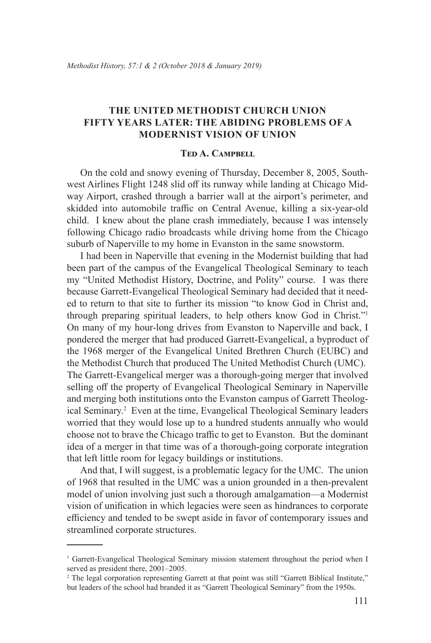# **The United Methodist Church Union Fifty Years Later: The Abiding Problems of a Modernist Vision of Union**

### **Ted A. Campbell**

On the cold and snowy evening of Thursday, December 8, 2005, Southwest Airlines Flight 1248 slid off its runway while landing at Chicago Midway Airport, crashed through a barrier wall at the airport's perimeter, and skidded into automobile traffic on Central Avenue, killing a six-year-old child. I knew about the plane crash immediately, because I was intensely following Chicago radio broadcasts while driving home from the Chicago suburb of Naperville to my home in Evanston in the same snowstorm.

I had been in Naperville that evening in the Modernist building that had been part of the campus of the Evangelical Theological Seminary to teach my "United Methodist History, Doctrine, and Polity" course. I was there because Garrett-Evangelical Theological Seminary had decided that it needed to return to that site to further its mission "to know God in Christ and, through preparing spiritual leaders, to help others know God in Christ."<sup>1</sup> On many of my hour-long drives from Evanston to Naperville and back, I pondered the merger that had produced Garrett-Evangelical, a byproduct of the 1968 merger of the Evangelical United Brethren Church (EUBC) and the Methodist Church that produced The United Methodist Church (UMC). The Garrett-Evangelical merger was a thorough-going merger that involved selling off the property of Evangelical Theological Seminary in Naperville and merging both institutions onto the Evanston campus of Garrett Theological Seminary.<sup>2</sup> Even at the time, Evangelical Theological Seminary leaders worried that they would lose up to a hundred students annually who would choose not to brave the Chicago traffic to get to Evanston. But the dominant idea of a merger in that time was of a thorough-going corporate integration that left little room for legacy buildings or institutions.

And that, I will suggest, is a problematic legacy for the UMC. The union of 1968 that resulted in the UMC was a union grounded in a then-prevalent model of union involving just such a thorough amalgamation—a Modernist vision of unification in which legacies were seen as hindrances to corporate efficiency and tended to be swept aside in favor of contemporary issues and streamlined corporate structures.

<sup>&</sup>lt;sup>1</sup> Garrett-Evangelical Theological Seminary mission statement throughout the period when I served as president there, 2001–2005.

<sup>&</sup>lt;sup>2</sup> The legal corporation representing Garrett at that point was still "Garrett Biblical Institute," but leaders of the school had branded it as "Garrett Theological Seminary" from the 1950s.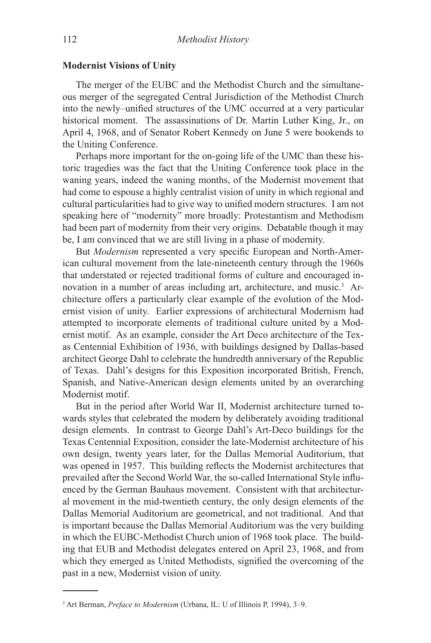#### **Modernist Visions of Unity**

The merger of the EUBC and the Methodist Church and the simultaneous merger of the segregated Central Jurisdiction of the Methodist Church into the newly–unified structures of the UMC occurred at a very particular historical moment. The assassinations of Dr. Martin Luther King, Jr., on April 4, 1968, and of Senator Robert Kennedy on June 5 were bookends to the Uniting Conference.

Perhaps more important for the on-going life of the UMC than these historic tragedies was the fact that the Uniting Conference took place in the waning years, indeed the waning months, of the Modernist movement that had come to espouse a highly centralist vision of unity in which regional and cultural particularities had to give way to unified modern structures. I am not speaking here of "modernity" more broadly: Protestantism and Methodism had been part of modernity from their very origins. Debatable though it may be, I am convinced that we are still living in a phase of modernity.

But *Modernism* represented a very specific European and North-American cultural movement from the late-nineteenth century through the 1960s that understated or rejected traditional forms of culture and encouraged innovation in a number of areas including art, architecture, and music.3 Architecture offers a particularly clear example of the evolution of the Modernist vision of unity. Earlier expressions of architectural Modernism had attempted to incorporate elements of traditional culture united by a Modernist motif. As an example, consider the Art Deco architecture of the Texas Centennial Exhibition of 1936, with buildings designed by Dallas-based architect George Dahl to celebrate the hundredth anniversary of the Republic of Texas. Dahl's designs for this Exposition incorporated British, French, Spanish, and Native-American design elements united by an overarching Modernist motif.

But in the period after World War II, Modernist architecture turned towards styles that celebrated the modern by deliberately avoiding traditional design elements. In contrast to George Dahl's Art-Deco buildings for the Texas Centennial Exposition, consider the late-Modernist architecture of his own design, twenty years later, for the Dallas Memorial Auditorium, that was opened in 1957. This building reflects the Modernist architectures that prevailed after the Second World War, the so-called International Style influenced by the German Bauhaus movement. Consistent with that architectural movement in the mid-twentieth century, the only design elements of the Dallas Memorial Auditorium are geometrical, and not traditional. And that is important because the Dallas Memorial Auditorium was the very building in which the EUBC-Methodist Church union of 1968 took place. The building that EUB and Methodist delegates entered on April 23, 1968, and from which they emerged as United Methodists, signified the overcoming of the past in a new, Modernist vision of unity.

<sup>3</sup> Art Berman, *Preface to Modernism* (Urbana, IL: U of Illinois P, 1994), 3–9.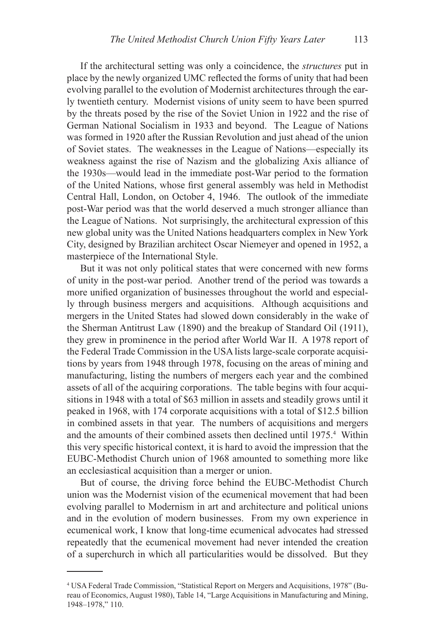If the architectural setting was only a coincidence, the *structures* put in place by the newly organized UMC reflected the forms of unity that had been evolving parallel to the evolution of Modernist architectures through the early twentieth century. Modernist visions of unity seem to have been spurred by the threats posed by the rise of the Soviet Union in 1922 and the rise of German National Socialism in 1933 and beyond. The League of Nations was formed in 1920 after the Russian Revolution and just ahead of the union of Soviet states. The weaknesses in the League of Nations—especially its weakness against the rise of Nazism and the globalizing Axis alliance of the 1930s—would lead in the immediate post-War period to the formation of the United Nations, whose first general assembly was held in Methodist Central Hall, London, on October 4, 1946. The outlook of the immediate post-War period was that the world deserved a much stronger alliance than the League of Nations. Not surprisingly, the architectural expression of this new global unity was the United Nations headquarters complex in New York City, designed by Brazilian architect Oscar Niemeyer and opened in 1952, a masterpiece of the International Style.

But it was not only political states that were concerned with new forms of unity in the post-war period. Another trend of the period was towards a more unified organization of businesses throughout the world and especially through business mergers and acquisitions. Although acquisitions and mergers in the United States had slowed down considerably in the wake of the Sherman Antitrust Law (1890) and the breakup of Standard Oil (1911), they grew in prominence in the period after World War II. A 1978 report of the Federal Trade Commission in the USA lists large-scale corporate acquisitions by years from 1948 through 1978, focusing on the areas of mining and manufacturing, listing the numbers of mergers each year and the combined assets of all of the acquiring corporations. The table begins with four acquisitions in 1948 with a total of \$63 million in assets and steadily grows until it peaked in 1968, with 174 corporate acquisitions with a total of \$12.5 billion in combined assets in that year. The numbers of acquisitions and mergers and the amounts of their combined assets then declined until 1975.<sup>4</sup> Within this very specific historical context, it is hard to avoid the impression that the EUBC-Methodist Church union of 1968 amounted to something more like an ecclesiastical acquisition than a merger or union.

But of course, the driving force behind the EUBC-Methodist Church union was the Modernist vision of the ecumenical movement that had been evolving parallel to Modernism in art and architecture and political unions and in the evolution of modern businesses. From my own experience in ecumenical work, I know that long-time ecumenical advocates had stressed repeatedly that the ecumenical movement had never intended the creation of a superchurch in which all particularities would be dissolved. But they

<sup>4</sup> USA Federal Trade Commission, "Statistical Report on Mergers and Acquisitions, 1978" (Bureau of Economics, August 1980), Table 14, "Large Acquisitions in Manufacturing and Mining, 1948–1978," 110.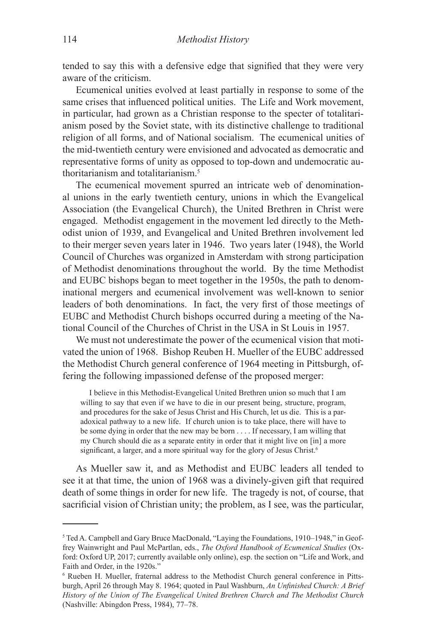tended to say this with a defensive edge that signified that they were very aware of the criticism.

Ecumenical unities evolved at least partially in response to some of the same crises that influenced political unities. The Life and Work movement, in particular, had grown as a Christian response to the specter of totalitarianism posed by the Soviet state, with its distinctive challenge to traditional religion of all forms, and of National socialism. The ecumenical unities of the mid-twentieth century were envisioned and advocated as democratic and representative forms of unity as opposed to top-down and undemocratic authoritarianism and totalitarianism.5

The ecumenical movement spurred an intricate web of denominational unions in the early twentieth century, unions in which the Evangelical Association (the Evangelical Church), the United Brethren in Christ were engaged. Methodist engagement in the movement led directly to the Methodist union of 1939, and Evangelical and United Brethren involvement led to their merger seven years later in 1946. Two years later (1948), the World Council of Churches was organized in Amsterdam with strong participation of Methodist denominations throughout the world. By the time Methodist and EUBC bishops began to meet together in the 1950s, the path to denominational mergers and ecumenical involvement was well-known to senior leaders of both denominations. In fact, the very first of those meetings of EUBC and Methodist Church bishops occurred during a meeting of the National Council of the Churches of Christ in the USA in St Louis in 1957.

We must not underestimate the power of the ecumenical vision that motivated the union of 1968. Bishop Reuben H. Mueller of the EUBC addressed the Methodist Church general conference of 1964 meeting in Pittsburgh, offering the following impassioned defense of the proposed merger:

I believe in this Methodist-Evangelical United Brethren union so much that I am willing to say that even if we have to die in our present being, structure, program, and procedures for the sake of Jesus Christ and His Church, let us die. This is a paradoxical pathway to a new life. If church union is to take place, there will have to be some dying in order that the new may be born . . . . If necessary, I am willing that my Church should die as a separate entity in order that it might live on [in] a more significant, a larger, and a more spiritual way for the glory of Jesus Christ.<sup>6</sup>

As Mueller saw it, and as Methodist and EUBC leaders all tended to see it at that time, the union of 1968 was a divinely-given gift that required death of some things in order for new life. The tragedy is not, of course, that sacrificial vision of Christian unity; the problem, as I see, was the particular,

<sup>&</sup>lt;sup>5</sup> Ted A. Campbell and Gary Bruce MacDonald, "Laying the Foundations, 1910–1948," in Geoffrey Wainwright and Paul McPartlan, eds., *The Oxford Handbook of Ecumenical Studies* (Oxford: Oxford UP, 2017; currently available only online), esp. the section on "Life and Work, and Faith and Order, in the 1920s."

<sup>6</sup> Rueben H. Mueller, fraternal address to the Methodist Church general conference in Pittsburgh, April 26 through May 8. 1964; quoted in Paul Washburn, *An Unfinished Church: A Brief History of the Union of The Evangelical United Brethren Church and The Methodist Church* (Nashville: Abingdon Press, 1984), 77–78.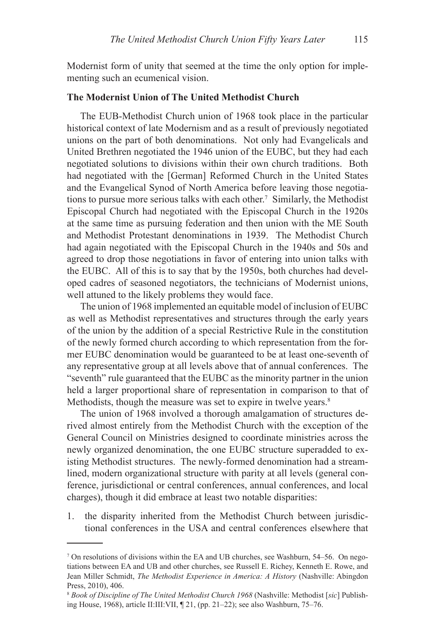Modernist form of unity that seemed at the time the only option for implementing such an ecumenical vision.

#### **The Modernist Union of The United Methodist Church**

The EUB-Methodist Church union of 1968 took place in the particular historical context of late Modernism and as a result of previously negotiated unions on the part of both denominations. Not only had Evangelicals and United Brethren negotiated the 1946 union of the EUBC, but they had each negotiated solutions to divisions within their own church traditions. Both had negotiated with the [German] Reformed Church in the United States and the Evangelical Synod of North America before leaving those negotiations to pursue more serious talks with each other.<sup>7</sup> Similarly, the Methodist Episcopal Church had negotiated with the Episcopal Church in the 1920s at the same time as pursuing federation and then union with the ME South and Methodist Protestant denominations in 1939. The Methodist Church had again negotiated with the Episcopal Church in the 1940s and 50s and agreed to drop those negotiations in favor of entering into union talks with the EUBC. All of this is to say that by the 1950s, both churches had developed cadres of seasoned negotiators, the technicians of Modernist unions, well attuned to the likely problems they would face.

The union of 1968 implemented an equitable model of inclusion of EUBC as well as Methodist representatives and structures through the early years of the union by the addition of a special Restrictive Rule in the constitution of the newly formed church according to which representation from the former EUBC denomination would be guaranteed to be at least one-seventh of any representative group at all levels above that of annual conferences. The "seventh" rule guaranteed that the EUBC as the minority partner in the union held a larger proportional share of representation in comparison to that of Methodists, though the measure was set to expire in twelve years.<sup>8</sup>

The union of 1968 involved a thorough amalgamation of structures derived almost entirely from the Methodist Church with the exception of the General Council on Ministries designed to coordinate ministries across the newly organized denomination, the one EUBC structure superadded to existing Methodist structures. The newly-formed denomination had a streamlined, modern organizational structure with parity at all levels (general conference, jurisdictional or central conferences, annual conferences, and local charges), though it did embrace at least two notable disparities:

1. the disparity inherited from the Methodist Church between jurisdictional conferences in the USA and central conferences elsewhere that

<sup>7</sup> On resolutions of divisions within the EA and UB churches, see Washburn, 54–56. On negotiations between EA and UB and other churches, see Russell E. Richey, Kenneth E. Rowe, and Jean Miller Schmidt, *The Methodist Experience in America: A History* (Nashville: Abingdon Press, 2010), 406.

<sup>8</sup> *Book of Discipline of The United Methodist Church 1968* (Nashville: Methodist [*sic*] Publishing House, 1968), article II:III:VII, ¶ 21, (pp. 21–22); see also Washburn, 75–76.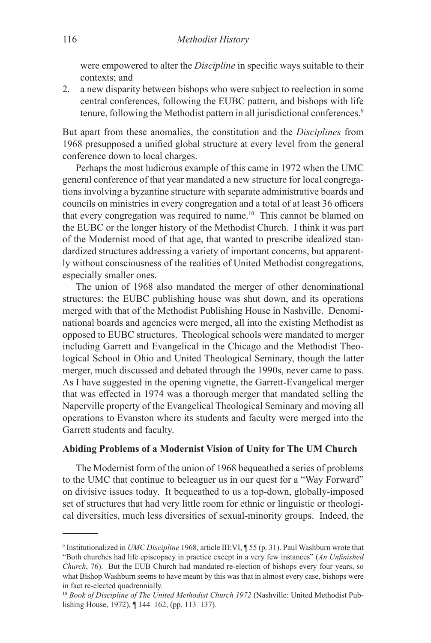were empowered to alter the *Discipline* in specific ways suitable to their contexts; and

2. a new disparity between bishops who were subject to reelection in some central conferences, following the EUBC pattern, and bishops with life tenure, following the Methodist pattern in all jurisdictional conferences.<sup>9</sup>

But apart from these anomalies, the constitution and the *Disciplines* from 1968 presupposed a unified global structure at every level from the general conference down to local charges.

Perhaps the most ludicrous example of this came in 1972 when the UMC general conference of that year mandated a new structure for local congregations involving a byzantine structure with separate administrative boards and councils on ministries in every congregation and a total of at least 36 officers that every congregation was required to name.<sup>10</sup> This cannot be blamed on the EUBC or the longer history of the Methodist Church. I think it was part of the Modernist mood of that age, that wanted to prescribe idealized standardized structures addressing a variety of important concerns, but apparently without consciousness of the realities of United Methodist congregations, especially smaller ones.

The union of 1968 also mandated the merger of other denominational structures: the EUBC publishing house was shut down, and its operations merged with that of the Methodist Publishing House in Nashville. Denominational boards and agencies were merged, all into the existing Methodist as opposed to EUBC structures. Theological schools were mandated to merger including Garrett and Evangelical in the Chicago and the Methodist Theological School in Ohio and United Theological Seminary, though the latter merger, much discussed and debated through the 1990s, never came to pass. As I have suggested in the opening vignette, the Garrett-Evangelical merger that was effected in 1974 was a thorough merger that mandated selling the Naperville property of the Evangelical Theological Seminary and moving all operations to Evanston where its students and faculty were merged into the Garrett students and faculty.

## **Abiding Problems of a Modernist Vision of Unity for The UM Church**

The Modernist form of the union of 1968 bequeathed a series of problems to the UMC that continue to beleaguer us in our quest for a "Way Forward" on divisive issues today. It bequeathed to us a top-down, globally-imposed set of structures that had very little room for ethnic or linguistic or theological diversities, much less diversities of sexual-minority groups. Indeed, the

<sup>9</sup> Institutionalized in *UMC Discipline* 1968, article III:VI, ¶ 55 (p. 31). Paul Washburn wrote that "Both churches had life episcopacy in practice except in a very few instances" (*An Unfinished Church*, 76). But the EUB Church had mandated re-election of bishops every four years, so what Bishop Washburn seems to have meant by this was that in almost every case, bishops were

in fact re-elected quadrennially. <sup>10</sup> Book of Discipline of The United Methodist Church 1972 (Nashville: United Methodist Publishing House, 1972), ¶ 144–162, (pp. 113–137).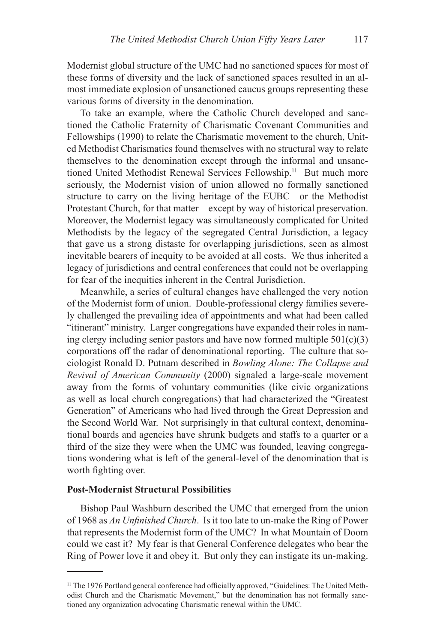Modernist global structure of the UMC had no sanctioned spaces for most of these forms of diversity and the lack of sanctioned spaces resulted in an almost immediate explosion of unsanctioned caucus groups representing these various forms of diversity in the denomination.

To take an example, where the Catholic Church developed and sanctioned the Catholic Fraternity of Charismatic Covenant Communities and Fellowships (1990) to relate the Charismatic movement to the church, United Methodist Charismatics found themselves with no structural way to relate themselves to the denomination except through the informal and unsanctioned United Methodist Renewal Services Fellowship.<sup>11</sup> But much more seriously, the Modernist vision of union allowed no formally sanctioned structure to carry on the living heritage of the EUBC—or the Methodist Protestant Church, for that matter—except by way of historical preservation. Moreover, the Modernist legacy was simultaneously complicated for United Methodists by the legacy of the segregated Central Jurisdiction, a legacy that gave us a strong distaste for overlapping jurisdictions, seen as almost inevitable bearers of inequity to be avoided at all costs. We thus inherited a legacy of jurisdictions and central conferences that could not be overlapping for fear of the inequities inherent in the Central Jurisdiction.

Meanwhile, a series of cultural changes have challenged the very notion of the Modernist form of union. Double-professional clergy families severely challenged the prevailing idea of appointments and what had been called "itinerant" ministry. Larger congregations have expanded their roles in naming clergy including senior pastors and have now formed multiple  $501(c)(3)$ corporations off the radar of denominational reporting. The culture that sociologist Ronald D. Putnam described in *Bowling Alone: The Collapse and Revival of American Community* (2000) signaled a large-scale movement away from the forms of voluntary communities (like civic organizations as well as local church congregations) that had characterized the "Greatest Generation" of Americans who had lived through the Great Depression and the Second World War. Not surprisingly in that cultural context, denominational boards and agencies have shrunk budgets and staffs to a quarter or a third of the size they were when the UMC was founded, leaving congregations wondering what is left of the general-level of the denomination that is worth fighting over.

#### **Post-Modernist Structural Possibilities**

Bishop Paul Washburn described the UMC that emerged from the union of 1968 as *An Unfinished Church*. Is it too late to un-make the Ring of Power that represents the Modernist form of the UMC? In what Mountain of Doom could we cast it? My fear is that General Conference delegates who bear the Ring of Power love it and obey it. But only they can instigate its un-making.

<sup>&</sup>lt;sup>11</sup> The 1976 Portland general conference had officially approved, "Guidelines: The United Methodist Church and the Charismatic Movement," but the denomination has not formally sanctioned any organization advocating Charismatic renewal within the UMC.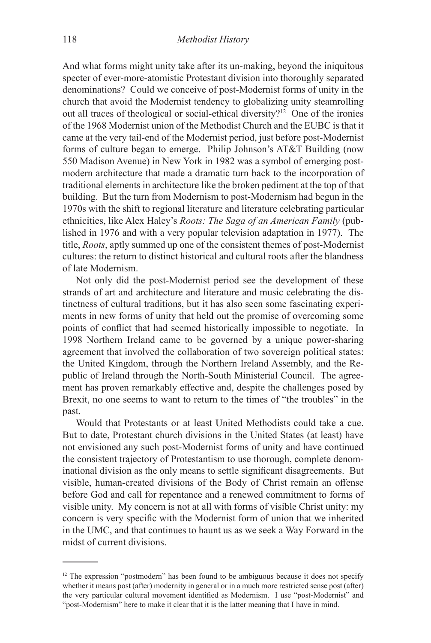And what forms might unity take after its un-making, beyond the iniquitous specter of ever-more-atomistic Protestant division into thoroughly separated denominations? Could we conceive of post-Modernist forms of unity in the church that avoid the Modernist tendency to globalizing unity steamrolling out all traces of theological or social-ethical diversity?<sup>12</sup> One of the ironies of the 1968 Modernist union of the Methodist Church and the EUBC is that it came at the very tail-end of the Modernist period, just before post-Modernist forms of culture began to emerge. Philip Johnson's AT&T Building (now 550 Madison Avenue) in New York in 1982 was a symbol of emerging postmodern architecture that made a dramatic turn back to the incorporation of traditional elements in architecture like the broken pediment at the top of that building. But the turn from Modernism to post-Modernism had begun in the 1970s with the shift to regional literature and literature celebrating particular ethnicities, like Alex Haley's *Roots: The Saga of an American Family* (published in 1976 and with a very popular television adaptation in 1977). The title, *Roots*, aptly summed up one of the consistent themes of post-Modernist cultures: the return to distinct historical and cultural roots after the blandness of late Modernism.

Not only did the post-Modernist period see the development of these strands of art and architecture and literature and music celebrating the distinctness of cultural traditions, but it has also seen some fascinating experiments in new forms of unity that held out the promise of overcoming some points of conflict that had seemed historically impossible to negotiate. In 1998 Northern Ireland came to be governed by a unique power-sharing agreement that involved the collaboration of two sovereign political states: the United Kingdom, through the Northern Ireland Assembly, and the Republic of Ireland through the North-South Ministerial Council. The agreement has proven remarkably effective and, despite the challenges posed by Brexit, no one seems to want to return to the times of "the troubles" in the past.

Would that Protestants or at least United Methodists could take a cue. But to date, Protestant church divisions in the United States (at least) have not envisioned any such post-Modernist forms of unity and have continued the consistent trajectory of Protestantism to use thorough, complete denominational division as the only means to settle significant disagreements. But visible, human-created divisions of the Body of Christ remain an offense before God and call for repentance and a renewed commitment to forms of visible unity. My concern is not at all with forms of visible Christ unity: my concern is very specific with the Modernist form of union that we inherited in the UMC, and that continues to haunt us as we seek a Way Forward in the midst of current divisions.

 $12$  The expression "postmodern" has been found to be ambiguous because it does not specify whether it means post (after) modernity in general or in a much more restricted sense post (after) the very particular cultural movement identified as Modernism. I use "post-Modernist" and "post-Modernism" here to make it clear that it is the latter meaning that I have in mind.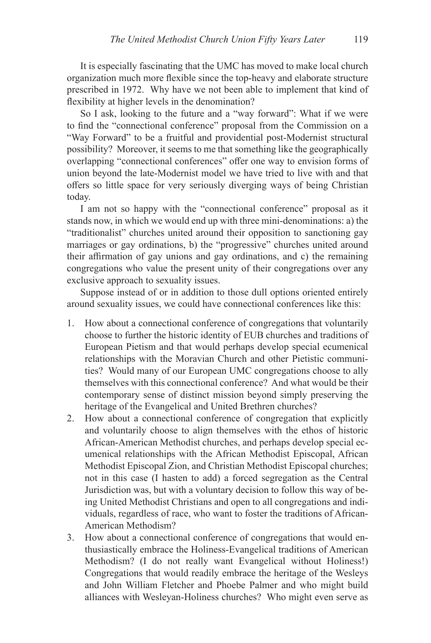It is especially fascinating that the UMC has moved to make local church organization much more flexible since the top-heavy and elaborate structure prescribed in 1972. Why have we not been able to implement that kind of flexibility at higher levels in the denomination?

So I ask, looking to the future and a "way forward": What if we were to find the "connectional conference" proposal from the Commission on a "Way Forward" to be a fruitful and providential post-Modernist structural possibility? Moreover, it seems to me that something like the geographically overlapping "connectional conferences" offer one way to envision forms of union beyond the late-Modernist model we have tried to live with and that offers so little space for very seriously diverging ways of being Christian today.

I am not so happy with the "connectional conference" proposal as it stands now, in which we would end up with three mini-denominations: a) the "traditionalist" churches united around their opposition to sanctioning gay marriages or gay ordinations, b) the "progressive" churches united around their affirmation of gay unions and gay ordinations, and c) the remaining congregations who value the present unity of their congregations over any exclusive approach to sexuality issues.

Suppose instead of or in addition to those dull options oriented entirely around sexuality issues, we could have connectional conferences like this:

- 1. How about a connectional conference of congregations that voluntarily choose to further the historic identity of EUB churches and traditions of European Pietism and that would perhaps develop special ecumenical relationships with the Moravian Church and other Pietistic communities? Would many of our European UMC congregations choose to ally themselves with this connectional conference? And what would be their contemporary sense of distinct mission beyond simply preserving the heritage of the Evangelical and United Brethren churches?
- 2. How about a connectional conference of congregation that explicitly and voluntarily choose to align themselves with the ethos of historic African-American Methodist churches, and perhaps develop special ecumenical relationships with the African Methodist Episcopal, African Methodist Episcopal Zion, and Christian Methodist Episcopal churches; not in this case (I hasten to add) a forced segregation as the Central Jurisdiction was, but with a voluntary decision to follow this way of being United Methodist Christians and open to all congregations and individuals, regardless of race, who want to foster the traditions of African-American Methodism?
- 3. How about a connectional conference of congregations that would enthusiastically embrace the Holiness-Evangelical traditions of American Methodism? (I do not really want Evangelical without Holiness!) Congregations that would readily embrace the heritage of the Wesleys and John William Fletcher and Phoebe Palmer and who might build alliances with Wesleyan-Holiness churches? Who might even serve as